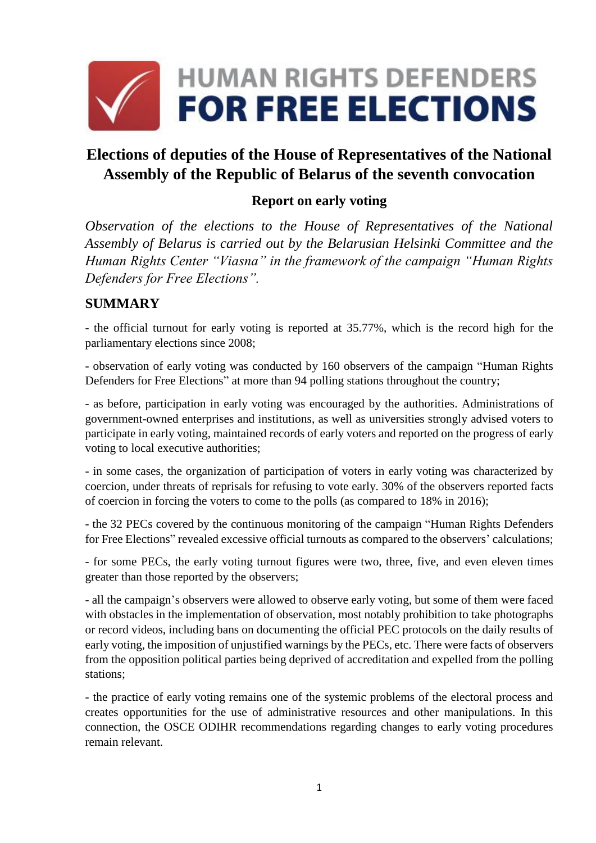

# **Elections of deputies of the House of Representatives of the National Assembly of the Republic of Belarus of the seventh convocation**

#### **Report on early voting**

*Observation of the elections to the House of Representatives of the National Assembly of Belarus is carried out by the Belarusian Helsinki Committee and the Human Rights Center "Viasna" in the framework of the campaign "Human Rights Defenders for Free Elections".*

#### **SUMMARY**

- the official turnout for early voting is reported at 35.77%, which is the record high for the parliamentary elections since 2008;

- observation of early voting was conducted by 160 observers of the campaign "Human Rights Defenders for Free Elections" at more than 94 polling stations throughout the country;

- as before, participation in early voting was encouraged by the authorities. Administrations of government-owned enterprises and institutions, as well as universities strongly advised voters to participate in early voting, maintained records of early voters and reported on the progress of early voting to local executive authorities;

- in some cases, the organization of participation of voters in early voting was characterized by coercion, under threats of reprisals for refusing to vote early. 30% of the observers reported facts of coercion in forcing the voters to come to the polls (as compared to 18% in 2016);

- the 32 PECs covered by the continuous monitoring of the campaign "Human Rights Defenders for Free Elections" revealed excessive official turnouts as compared to the observers' calculations;

- for some PECs, the early voting turnout figures were two, three, five, and even eleven times greater than those reported by the observers;

- all the campaign's observers were allowed to observe early voting, but some of them were faced with obstacles in the implementation of observation, most notably prohibition to take photographs or record videos, including bans on documenting the official PEC protocols on the daily results of early voting, the imposition of unjustified warnings by the PECs, etc. There were facts of observers from the opposition political parties being deprived of accreditation and expelled from the polling stations;

- the practice of early voting remains one of the systemic problems of the electoral process and creates opportunities for the use of administrative resources and other manipulations. In this connection, the OSCE ODIHR recommendations regarding changes to early voting procedures remain relevant.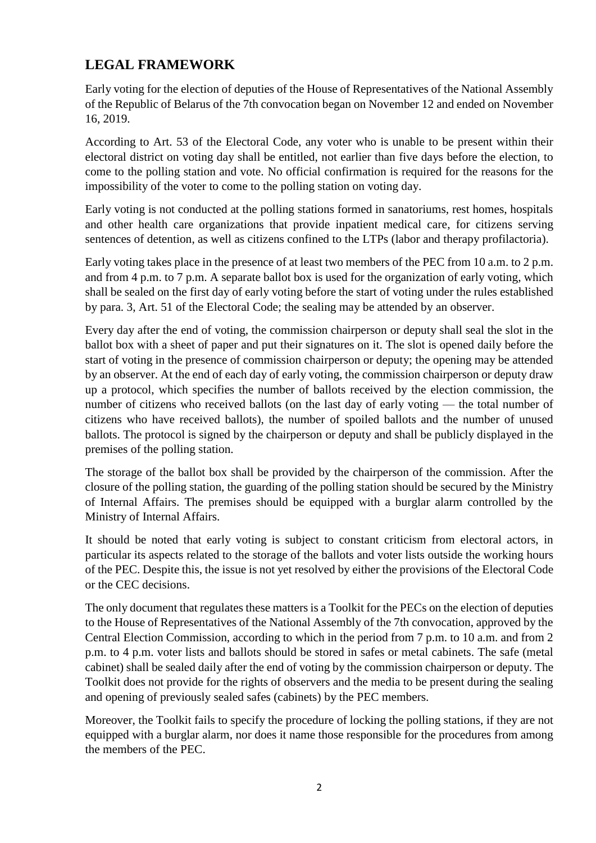# **LEGAL FRAMEWORK**

Early voting for the election of deputies of the House of Representatives of the National Assembly of the Republic of Belarus of the 7th convocation began on November 12 and ended on November 16, 2019.

According to Art. 53 of the Electoral Code, any voter who is unable to be present within their electoral district on voting day shall be entitled, not earlier than five days before the election, to come to the polling station and vote. No official confirmation is required for the reasons for the impossibility of the voter to come to the polling station on voting day.

Early voting is not conducted at the polling stations formed in sanatoriums, rest homes, hospitals and other health care organizations that provide inpatient medical care, for citizens serving sentences of detention, as well as citizens confined to the LTPs (labor and therapy profilactoria).

Early voting takes place in the presence of at least two members of the PEC from 10 a.m. to 2 p.m. and from 4 p.m. to 7 p.m. A separate ballot box is used for the organization of early voting, which shall be sealed on the first day of early voting before the start of voting under the rules established by para. 3, Art. 51 of the Electoral Code; the sealing may be attended by an observer.

Every day after the end of voting, the commission chairperson or deputy shall seal the slot in the ballot box with a sheet of paper and put their signatures on it. The slot is opened daily before the start of voting in the presence of commission chairperson or deputy; the opening may be attended by an observer. At the end of each day of early voting, the commission chairperson or deputy draw up a protocol, which specifies the number of ballots received by the election commission, the number of citizens who received ballots (on the last day of early voting — the total number of citizens who have received ballots), the number of spoiled ballots and the number of unused ballots. The protocol is signed by the chairperson or deputy and shall be publicly displayed in the premises of the polling station.

The storage of the ballot box shall be provided by the chairperson of the commission. After the closure of the polling station, the guarding of the polling station should be secured by the Ministry of Internal Affairs. The premises should be equipped with a burglar alarm controlled by the Ministry of Internal Affairs.

It should be noted that early voting is subject to constant criticism from electoral actors, in particular its aspects related to the storage of the ballots and voter lists outside the working hours of the PEC. Despite this, the issue is not yet resolved by either the provisions of the Electoral Code or the CEC decisions.

The only document that regulates these matters is a Toolkit for the PECs on the election of deputies to the House of Representatives of the National Assembly of the 7th convocation, approved by the Central Election Commission, according to which in the period from 7 p.m. to 10 a.m. and from 2 p.m. to 4 p.m. voter lists and ballots should be stored in safes or metal cabinets. The safe (metal cabinet) shall be sealed daily after the end of voting by the commission chairperson or deputy. The Toolkit does not provide for the rights of observers and the media to be present during the sealing and opening of previously sealed safes (cabinets) by the PEC members.

Moreover, the Toolkit fails to specify the procedure of locking the polling stations, if they are not equipped with a burglar alarm, nor does it name those responsible for the procedures from among the members of the PEC.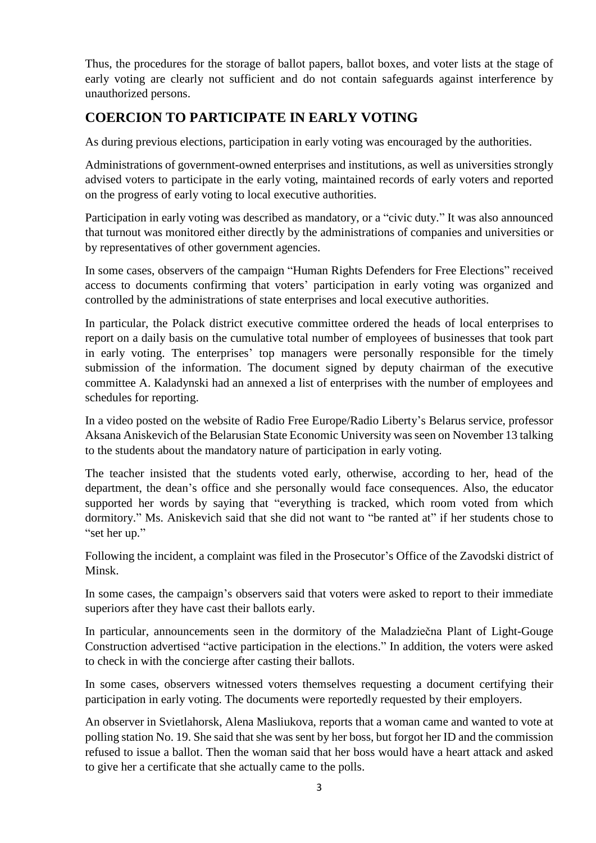Thus, the procedures for the storage of ballot papers, ballot boxes, and voter lists at the stage of early voting are clearly not sufficient and do not contain safeguards against interference by unauthorized persons.

# **COERCION TO PARTICIPATE IN EARLY VOTING**

As during previous elections, participation in early voting was encouraged by the authorities.

Administrations of government-owned enterprises and institutions, as well as universities strongly advised voters to participate in the early voting, maintained records of early voters and reported on the progress of early voting to local executive authorities.

Participation in early voting was described as mandatory, or a "civic duty." It was also announced that turnout was monitored either directly by the administrations of companies and universities or by representatives of other government agencies.

In some cases, observers of the campaign "Human Rights Defenders for Free Elections" received access to documents confirming that voters' participation in early voting was organized and controlled by the administrations of state enterprises and local executive authorities.

In particular, the Polack district executive committee ordered the heads of local enterprises to report on a daily basis on the cumulative total number of employees of businesses that took part in early voting. The enterprises' top managers were personally responsible for the timely submission of the information. The document signed by deputy chairman of the executive committee A. Kaladynski had an annexed a list of enterprises with the number of employees and schedules for reporting.

In a video posted on the website of Radio Free Europe/Radio Liberty's Belarus service, professor Aksana Aniskevich of the Belarusian State Economic University was seen on November 13 talking to the students about the mandatory nature of participation in early voting.

The teacher insisted that the students voted early, otherwise, according to her, head of the department, the dean's office and she personally would face consequences. Also, the educator supported her words by saying that "everything is tracked, which room voted from which dormitory." Ms. Aniskevich said that she did not want to "be ranted at" if her students chose to "set her up."

Following the incident, a complaint was filed in the Prosecutor's Office of the Zavodski district of Minsk.

In some cases, the campaign's observers said that voters were asked to report to their immediate superiors after they have cast their ballots early.

In particular, announcements seen in the dormitory of the Maladziečna Plant of Light-Gouge Construction advertised "active participation in the elections." In addition, the voters were asked to check in with the concierge after casting their ballots.

In some cases, observers witnessed voters themselves requesting a document certifying their participation in early voting. The documents were reportedly requested by their employers.

An observer in Svietlahorsk, Alena Masliukova, reports that a woman came and wanted to vote at polling station No. 19. She said that she was sent by her boss, but forgot her ID and the commission refused to issue a ballot. Then the woman said that her boss would have a heart attack and asked to give her a certificate that she actually came to the polls.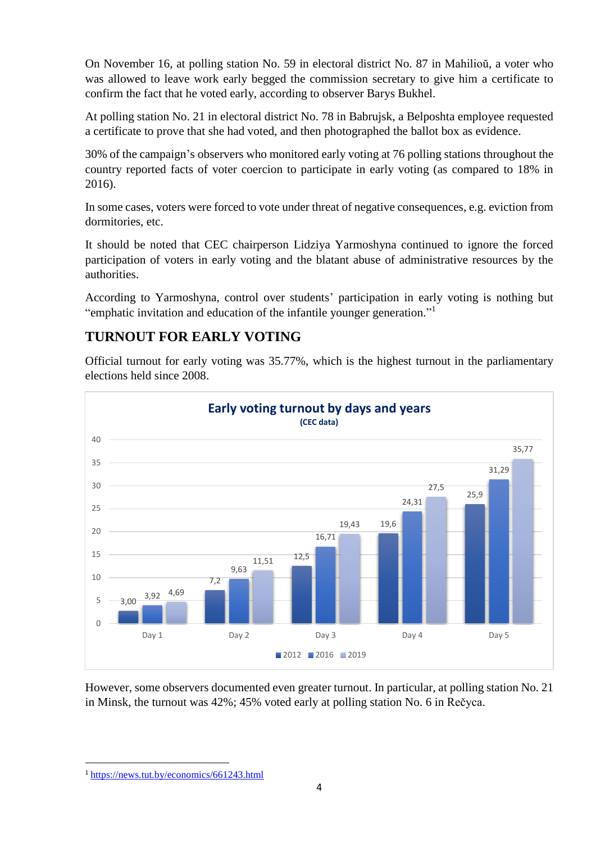On November 16, at polling station No. 59 in electoral district No. 87 in Mahilioŭ, a voter who was allowed to leave work early begged the commission secretary to give him a certificate to confirm the fact that he voted early, according to observer Barys Bukhel.

At polling station No. 21 in electoral district No. 78 in Babrujsk, a Belposhta employee requested a certificate to prove that she had voted, and then photographed the ballot box as evidence.

30% of the campaign's observers who monitored early voting at 76 polling stations throughout the country reported facts of voter coercion to participate in early voting (as compared to 18% in 2016).

In some cases, voters were forced to vote under threat of negative consequences, e.g. eviction from dormitories, etc.

It should be noted that CEC chairperson Lidziya Yarmoshyna continued to ignore the forced participation of voters in early voting and the blatant abuse of administrative resources by the authorities.

According to Yarmoshyna, control over students' participation in early voting is nothing but "emphatic invitation and education of the infantile younger generation."<sup>1</sup>

## **TURNOUT FOR EARLY VOTING**

Official turnout for early voting was 35.77%, which is the highest turnout in the parliamentary elections held since 2008.



However, some observers documented even greater turnout. In particular, at polling station No. 21 in Minsk, the turnout was 42%; 45% voted early at polling station No. 6 in Rečyca.

**<sup>.</sup>** <sup>1</sup> <https://news.tut.by/economics/661243.html>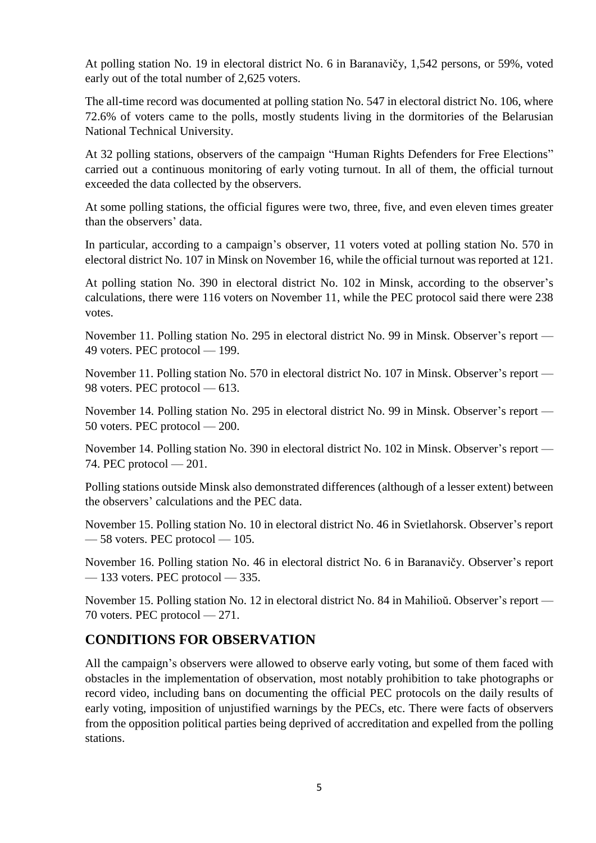At polling station No. 19 in electoral district No. 6 in Baranavičy, 1,542 persons, or 59%, voted early out of the total number of 2,625 voters.

The all-time record was documented at polling station No. 547 in electoral district No. 106, where 72.6% of voters came to the polls, mostly students living in the dormitories of the Belarusian National Technical University.

At 32 polling stations, observers of the campaign "Human Rights Defenders for Free Elections" carried out a continuous monitoring of early voting turnout. In all of them, the official turnout exceeded the data collected by the observers.

At some polling stations, the official figures were two, three, five, and even eleven times greater than the observers' data.

In particular, according to a campaign's observer, 11 voters voted at polling station No. 570 in electoral district No. 107 in Minsk on November 16, while the official turnout was reported at 121.

At polling station No. 390 in electoral district No. 102 in Minsk, according to the observer's calculations, there were 116 voters on November 11, while the PEC protocol said there were 238 votes.

November 11. Polling station No. 295 in electoral district No. 99 in Minsk. Observer's report — 49 voters. PEC protocol — 199.

November 11. Polling station No. 570 in electoral district No. 107 in Minsk. Observer's report — 98 voters. PEC protocol — 613.

November 14. Polling station No. 295 in electoral district No. 99 in Minsk. Observer's report — 50 voters. PEC protocol — 200.

November 14. Polling station No. 390 in electoral district No. 102 in Minsk. Observer's report — 74. PEC protocol — 201.

Polling stations outside Minsk also demonstrated differences (although of a lesser extent) between the observers' calculations and the PEC data.

November 15. Polling station No. 10 in electoral district No. 46 in Svietlahorsk. Observer's report — 58 voters. PEC protocol — 105.

November 16. Polling station No. 46 in electoral district No. 6 in Baranavičy. Observer's report  $-133$  voters. PEC protocol  $-335$ .

November 15. Polling station No. 12 in electoral district No. 84 in Mahilioŭ. Observer's report — 70 voters. PEC protocol — 271.

## **CONDITIONS FOR OBSERVATION**

All the campaign's observers were allowed to observe early voting, but some of them faced with obstacles in the implementation of observation, most notably prohibition to take photographs or record video, including bans on documenting the official PEC protocols on the daily results of early voting, imposition of unjustified warnings by the PECs, etc. There were facts of observers from the opposition political parties being deprived of accreditation and expelled from the polling stations.